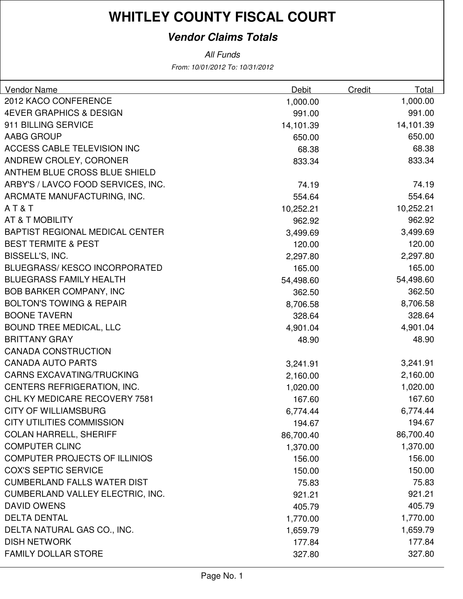### **Vendor Claims Totals**

| Vendor Name                             | <b>Debit</b> | Credit | Total     |
|-----------------------------------------|--------------|--------|-----------|
| 2012 KACO CONFERENCE                    | 1,000.00     |        | 1,000.00  |
| <b>4EVER GRAPHICS &amp; DESIGN</b>      | 991.00       |        | 991.00    |
| 911 BILLING SERVICE                     | 14,101.39    |        | 14,101.39 |
| AABG GROUP                              | 650.00       |        | 650.00    |
| ACCESS CABLE TELEVISION INC             | 68.38        |        | 68.38     |
| ANDREW CROLEY, CORONER                  | 833.34       |        | 833.34    |
| <b>ANTHEM BLUE CROSS BLUE SHIELD</b>    |              |        |           |
| ARBY'S / LAVCO FOOD SERVICES, INC.      | 74.19        |        | 74.19     |
| ARCMATE MANUFACTURING, INC.             | 554.64       |        | 554.64    |
| AT&T                                    | 10,252.21    |        | 10,252.21 |
| AT & T MOBILITY                         | 962.92       |        | 962.92    |
| <b>BAPTIST REGIONAL MEDICAL CENTER</b>  | 3,499.69     |        | 3,499.69  |
| <b>BEST TERMITE &amp; PEST</b>          | 120.00       |        | 120.00    |
| BISSELL'S, INC.                         | 2,297.80     |        | 2,297.80  |
| <b>BLUEGRASS/KESCO INCORPORATED</b>     | 165.00       |        | 165.00    |
| <b>BLUEGRASS FAMILY HEALTH</b>          | 54,498.60    |        | 54,498.60 |
| <b>BOB BARKER COMPANY, INC</b>          | 362.50       |        | 362.50    |
| <b>BOLTON'S TOWING &amp; REPAIR</b>     | 8,706.58     |        | 8,706.58  |
| <b>BOONE TAVERN</b>                     | 328.64       |        | 328.64    |
| <b>BOUND TREE MEDICAL, LLC</b>          | 4,901.04     |        | 4,901.04  |
| <b>BRITTANY GRAY</b>                    | 48.90        |        | 48.90     |
| <b>CANADA CONSTRUCTION</b>              |              |        |           |
| <b>CANADA AUTO PARTS</b>                | 3,241.91     |        | 3,241.91  |
| <b>CARNS EXCAVATING/TRUCKING</b>        | 2,160.00     |        | 2,160.00  |
| CENTERS REFRIGERATION, INC.             | 1,020.00     |        | 1,020.00  |
| CHL KY MEDICARE RECOVERY 7581           | 167.60       |        | 167.60    |
| <b>CITY OF WILLIAMSBURG</b>             | 6,774.44     |        | 6,774.44  |
| <b>CITY UTILITIES COMMISSION</b>        | 194.67       |        | 194.67    |
| <b>COLAN HARRELL, SHERIFF</b>           | 86,700.40    |        | 86,700.40 |
| <b>COMPUTER CLINC</b>                   | 1,370.00     |        | 1,370.00  |
| <b>COMPUTER PROJECTS OF ILLINIOS</b>    | 156.00       |        | 156.00    |
| <b>COX'S SEPTIC SERVICE</b>             | 150.00       |        | 150.00    |
| <b>CUMBERLAND FALLS WATER DIST</b>      | 75.83        |        | 75.83     |
| <b>CUMBERLAND VALLEY ELECTRIC, INC.</b> | 921.21       |        | 921.21    |
| <b>DAVID OWENS</b>                      | 405.79       |        | 405.79    |
| <b>DELTA DENTAL</b>                     | 1,770.00     |        | 1,770.00  |
| DELTA NATURAL GAS CO., INC.             | 1,659.79     |        | 1,659.79  |
| <b>DISH NETWORK</b>                     | 177.84       |        | 177.84    |
| <b>FAMILY DOLLAR STORE</b>              | 327.80       |        | 327.80    |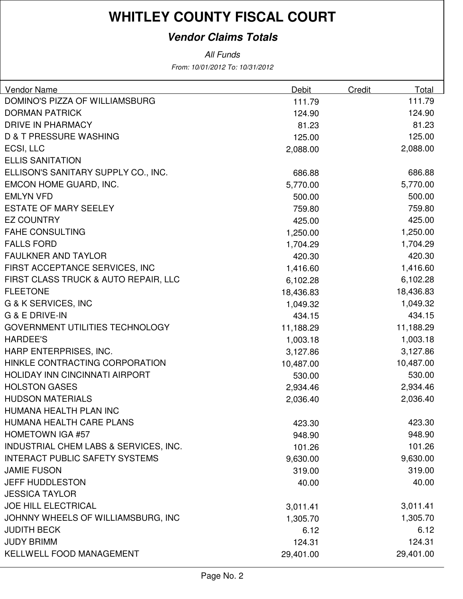### **Vendor Claims Totals**

| <b>Vendor Name</b>                    | Debit     | Credit | Total     |
|---------------------------------------|-----------|--------|-----------|
| DOMINO'S PIZZA OF WILLIAMSBURG        | 111.79    |        | 111.79    |
| <b>DORMAN PATRICK</b>                 | 124.90    |        | 124.90    |
| <b>DRIVE IN PHARMACY</b>              | 81.23     |        | 81.23     |
| <b>D &amp; T PRESSURE WASHING</b>     | 125.00    |        | 125.00    |
| ECSI, LLC                             | 2,088.00  |        | 2,088.00  |
| <b>ELLIS SANITATION</b>               |           |        |           |
| ELLISON'S SANITARY SUPPLY CO., INC.   | 686.88    |        | 686.88    |
| EMCON HOME GUARD, INC.                | 5,770.00  |        | 5,770.00  |
| <b>EMLYN VFD</b>                      | 500.00    |        | 500.00    |
| <b>ESTATE OF MARY SEELEY</b>          | 759.80    |        | 759.80    |
| <b>EZ COUNTRY</b>                     | 425.00    |        | 425.00    |
| <b>FAHE CONSULTING</b>                | 1,250.00  |        | 1,250.00  |
| <b>FALLS FORD</b>                     | 1,704.29  |        | 1,704.29  |
| <b>FAULKNER AND TAYLOR</b>            | 420.30    |        | 420.30    |
| FIRST ACCEPTANCE SERVICES, INC        | 1,416.60  |        | 1,416.60  |
| FIRST CLASS TRUCK & AUTO REPAIR, LLC  | 6,102.28  |        | 6,102.28  |
| <b>FLEETONE</b>                       | 18,436.83 |        | 18,436.83 |
| G & K SERVICES, INC                   | 1,049.32  |        | 1,049.32  |
| G & E DRIVE-IN                        | 434.15    |        | 434.15    |
| GOVERNMENT UTILITIES TECHNOLOGY       | 11,188.29 |        | 11,188.29 |
| <b>HARDEE'S</b>                       | 1,003.18  |        | 1,003.18  |
| HARP ENTERPRISES, INC.                | 3,127.86  |        | 3,127.86  |
| HINKLE CONTRACTING CORPORATION        | 10,487.00 |        | 10,487.00 |
| <b>HOLIDAY INN CINCINNATI AIRPORT</b> | 530.00    |        | 530.00    |
| <b>HOLSTON GASES</b>                  | 2,934.46  |        | 2,934.46  |
| <b>HUDSON MATERIALS</b>               | 2,036.40  |        | 2,036.40  |
| HUMANA HEALTH PLAN INC                |           |        |           |
| HUMANA HEALTH CARE PLANS              | 423.30    |        | 423.30    |
| <b>HOMETOWN IGA #57</b>               | 948.90    |        | 948.90    |
| INDUSTRIAL CHEM LABS & SERVICES, INC. | 101.26    |        | 101.26    |
| <b>INTERACT PUBLIC SAFETY SYSTEMS</b> | 9,630.00  |        | 9,630.00  |
| <b>JAMIE FUSON</b>                    | 319.00    |        | 319.00    |
| <b>JEFF HUDDLESTON</b>                | 40.00     |        | 40.00     |
| <b>JESSICA TAYLOR</b>                 |           |        |           |
| JOE HILL ELECTRICAL                   | 3,011.41  |        | 3,011.41  |
| JOHNNY WHEELS OF WILLIAMSBURG, INC    | 1,305.70  |        | 1,305.70  |
| <b>JUDITH BECK</b>                    | 6.12      |        | 6.12      |
| <b>JUDY BRIMM</b>                     | 124.31    |        | 124.31    |
| KELLWELL FOOD MANAGEMENT              | 29,401.00 |        | 29,401.00 |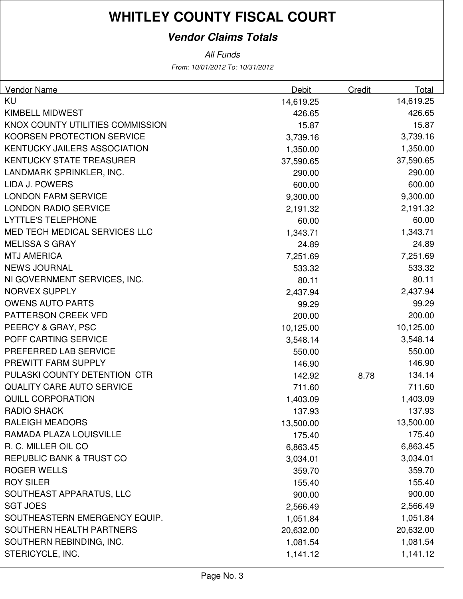### **Vendor Claims Totals**

| <b>Vendor Name</b>                   | <b>Debit</b> | <b>Credit</b> | <b>Total</b> |
|--------------------------------------|--------------|---------------|--------------|
| KU                                   | 14,619.25    |               | 14,619.25    |
| <b>KIMBELL MIDWEST</b>               | 426.65       |               | 426.65       |
| KNOX COUNTY UTILITIES COMMISSION     | 15.87        |               | 15.87        |
| <b>KOORSEN PROTECTION SERVICE</b>    | 3,739.16     |               | 3,739.16     |
| <b>KENTUCKY JAILERS ASSOCIATION</b>  | 1,350.00     |               | 1,350.00     |
| <b>KENTUCKY STATE TREASURER</b>      | 37,590.65    |               | 37,590.65    |
| LANDMARK SPRINKLER, INC.             | 290.00       |               | 290.00       |
| <b>LIDA J. POWERS</b>                | 600.00       |               | 600.00       |
| <b>LONDON FARM SERVICE</b>           | 9,300.00     |               | 9,300.00     |
| <b>LONDON RADIO SERVICE</b>          | 2,191.32     |               | 2,191.32     |
| <b>LYTTLE'S TELEPHONE</b>            | 60.00        |               | 60.00        |
| <b>MED TECH MEDICAL SERVICES LLC</b> | 1,343.71     |               | 1,343.71     |
| <b>MELISSA S GRAY</b>                | 24.89        |               | 24.89        |
| <b>MTJ AMERICA</b>                   | 7,251.69     |               | 7,251.69     |
| <b>NEWS JOURNAL</b>                  | 533.32       |               | 533.32       |
| NI GOVERNMENT SERVICES, INC.         | 80.11        |               | 80.11        |
| <b>NORVEX SUPPLY</b>                 | 2,437.94     |               | 2,437.94     |
| <b>OWENS AUTO PARTS</b>              | 99.29        |               | 99.29        |
| PATTERSON CREEK VFD                  | 200.00       |               | 200.00       |
| PEERCY & GRAY, PSC                   | 10,125.00    |               | 10,125.00    |
| POFF CARTING SERVICE                 | 3,548.14     |               | 3,548.14     |
| PREFERRED LAB SERVICE                | 550.00       |               | 550.00       |
| PREWITT FARM SUPPLY                  | 146.90       |               | 146.90       |
| PULASKI COUNTY DETENTION CTR         | 142.92       | 8.78          | 134.14       |
| <b>QUALITY CARE AUTO SERVICE</b>     | 711.60       |               | 711.60       |
| <b>QUILL CORPORATION</b>             | 1,403.09     |               | 1,403.09     |
| <b>RADIO SHACK</b>                   | 137.93       |               | 137.93       |
| <b>RALEIGH MEADORS</b>               | 13,500.00    |               | 13,500.00    |
| RAMADA PLAZA LOUISVILLE              | 175.40       |               | 175.40       |
| R. C. MILLER OIL CO                  | 6,863.45     |               | 6,863.45     |
| <b>REPUBLIC BANK &amp; TRUST CO</b>  | 3,034.01     |               | 3,034.01     |
| <b>ROGER WELLS</b>                   | 359.70       |               | 359.70       |
| <b>ROY SILER</b>                     | 155.40       |               | 155.40       |
| SOUTHEAST APPARATUS, LLC             | 900.00       |               | 900.00       |
| <b>SGT JOES</b>                      | 2,566.49     |               | 2,566.49     |
| SOUTHEASTERN EMERGENCY EQUIP.        | 1,051.84     |               | 1,051.84     |
| SOUTHERN HEALTH PARTNERS             | 20,632.00    |               | 20,632.00    |
| SOUTHERN REBINDING, INC.             | 1,081.54     |               | 1,081.54     |
| STERICYCLE, INC.                     | 1,141.12     |               | 1,141.12     |